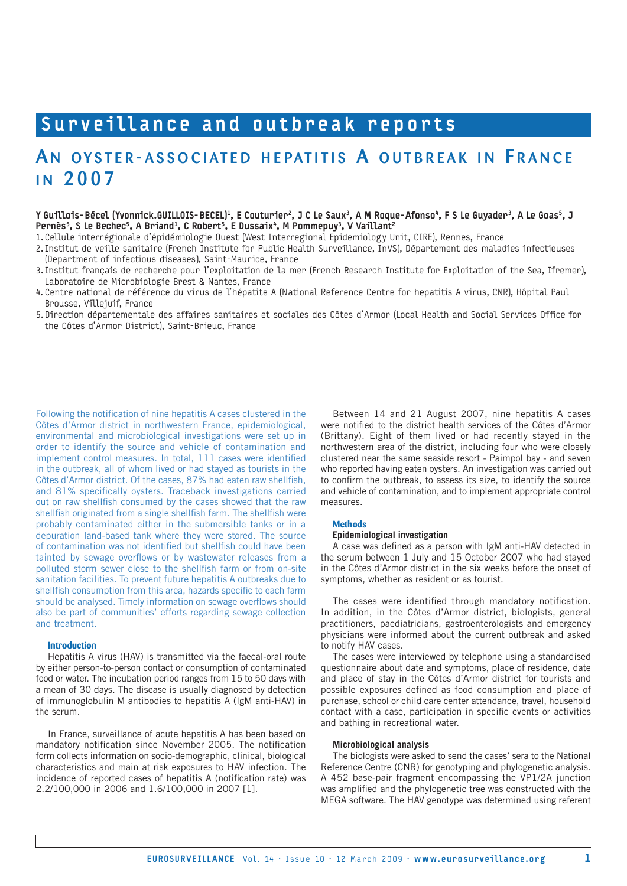# Surveillance and outbreak reports

## AN OYSTER-ASSOCIATED HEPATITIS A OUTBREAK IN FRANCE i n 2007

Y Guillois-Bécel (Yvonnick.GUILLOIS-BECEL)<sup>1</sup>, E Couturier<sup>2</sup>, J C Le Saux<sup>3</sup>, A M Roque-Afonso<sup>4</sup>, F S Le Guyader<sup>3</sup>, A Le Goas<sup>5</sup>, J Pernès<sup>5</sup>, S Le Bechec<sup>5</sup>, A Briand<sup>1</sup>, C Robert<sup>5</sup>, E Dussaix<sup>4</sup>, M Pommepuy<sup>3</sup>, V Vaillant<sup>2</sup>

1. Cellule interrégionale d'épidémiologie Ouest (West Interregional Epidemiology Unit, CIRE), Rennes, France

2. Institut de veille sanitaire (French Institute for Public Health Surveillance, InVS), Département des maladies infectieuses (Department of infectious diseases), Saint-Maurice, France

- 3. Institut français de recherche pour l'exploitation de la mer (French Research Institute for Exploitation of the Sea, Ifremer), Laboratoire de Microbiologie Brest & Nantes, France
- 4. Centre national de référence du virus de l'hépatite A (National Reference Centre for hepatitis A virus, CNR), Hôpital Paul Brousse, Villejuif, France
- 5. Direction départementale des affaires sanitaires et sociales des Côtes d'Armor (Local Health and Social Services Office for the Côtes d'Armor District), Saint-Brieuc, France

Following the notification of nine hepatitis A cases clustered in the Côtes d'Armor district in northwestern France, epidemiological, environmental and microbiological investigations were set up in order to identify the source and vehicle of contamination and implement control measures. In total, 111 cases were identified in the outbreak, all of whom lived or had stayed as tourists in the Côtes d'Armor district. Of the cases, 87% had eaten raw shellfish, and 81% specifically oysters. Traceback investigations carried out on raw shellfish consumed by the cases showed that the raw shellfish originated from a single shellfish farm. The shellfish were probably contaminated either in the submersible tanks or in a depuration land-based tank where they were stored. The source of contamination was not identified but shellfish could have been tainted by sewage overflows or by wastewater releases from a polluted storm sewer close to the shellfish farm or from on-site sanitation facilities. To prevent future hepatitis A outbreaks due to shellfish consumption from this area, hazards specific to each farm should be analysed. Timely information on sewage overflows should also be part of communities' efforts regarding sewage collection and treatment.

### **Introduction**

Hepatitis A virus (HAV) is transmitted via the faecal-oral route by either person-to-person contact or consumption of contaminated food or water. The incubation period ranges from 15 to 50 days with a mean of 30 days. The disease is usually diagnosed by detection of immunoglobulin M antibodies to hepatitis A (IgM anti-HAV) in the serum.

In France, surveillance of acute hepatitis A has been based on mandatory notification since November 2005. The notification form collects information on socio-demographic, clinical, biological characteristics and main at risk exposures to HAV infection. The incidence of reported cases of hepatitis A (notification rate) was 2.2/100,000 in 2006 and 1.6/100,000 in 2007 [1].

Between 14 and 21 August 2007, nine hepatitis A cases were notified to the district health services of the Côtes d'Armor (Brittany). Eight of them lived or had recently stayed in the northwestern area of the district, including four who were closely clustered near the same seaside resort - Paimpol bay - and seven who reported having eaten oysters. An investigation was carried out to confirm the outbreak, to assess its size, to identify the source and vehicle of contamination, and to implement appropriate control measures.

## **Methods**

## **Epidemiological investigation**

A case was defined as a person with IgM anti-HAV detected in the serum between 1 July and 15 October 2007 who had stayed in the Côtes d'Armor district in the six weeks before the onset of symptoms, whether as resident or as tourist.

The cases were identified through mandatory notification. In addition, in the Côtes d'Armor district, biologists, general practitioners, paediatricians, gastroenterologists and emergency physicians were informed about the current outbreak and asked to notify HAV cases.

The cases were interviewed by telephone using a standardised questionnaire about date and symptoms, place of residence, date and place of stay in the Côtes d'Armor district for tourists and possible exposures defined as food consumption and place of purchase, school or child care center attendance, travel, household contact with a case, participation in specific events or activities and bathing in recreational water.

#### **Microbiological analysis**

The biologists were asked to send the cases' sera to the National Reference Centre (CNR) for genotyping and phylogenetic analysis. A 452 base-pair fragment encompassing the VP1/2A junction was amplified and the phylogenetic tree was constructed with the MEGA software. The HAV genotype was determined using referent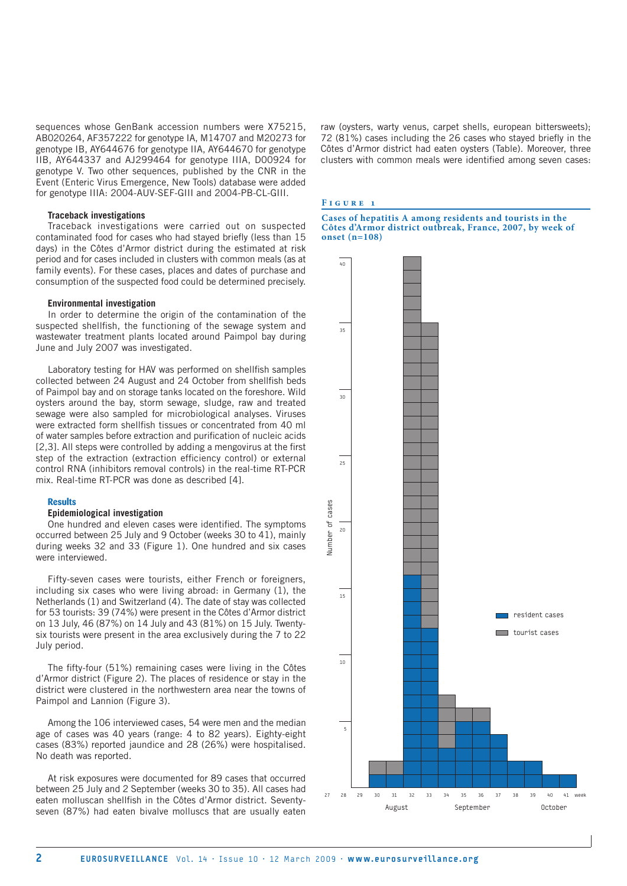sequences whose GenBank accession numbers were X75215, AB020264, AF357222 for genotype IA, M14707 and M20273 for genotype IB, AY644676 for genotype IIA, AY644670 for genotype IIB, AY644337 and AJ299464 for genotype IIIA, D00924 for genotype V. Two other sequences, published by the CNR in the Event (Enteric Virus Emergence, New Tools) database were added for genotype IIIA: 2004-AUV-SEF-GIII and 2004-PB-CL-GIII.

#### **Traceback investigations**

Traceback investigations were carried out on suspected contaminated food for cases who had stayed briefly (less than 15 days) in the Côtes d'Armor district during the estimated at risk period and for cases included in clusters with common meals (as at family events). For these cases, places and dates of purchase and consumption of the suspected food could be determined precisely.

#### **Environmental investigation**

In order to determine the origin of the contamination of the suspected shellfish, the functioning of the sewage system and wastewater treatment plants located around Paimpol bay during June and July 2007 was investigated.

Laboratory testing for HAV was performed on shellfish samples collected between 24 August and 24 October from shellfish beds of Paimpol bay and on storage tanks located on the foreshore. Wild oysters around the bay, storm sewage, sludge, raw and treated sewage were also sampled for microbiological analyses. Viruses were extracted form shellfish tissues or concentrated from 40 ml of water samples before extraction and purification of nucleic acids [2,3]. All steps were controlled by adding a mengovirus at the first step of the extraction (extraction efficiency control) or external control RNA (inhibitors removal controls) in the real-time RT-PCR mix. Real-time RT-PCR was done as described [4].

#### **Results**

#### **Epidemiological investigation**

One hundred and eleven cases were identified. The symptoms occurred between 25 July and 9 October (weeks 30 to 41), mainly during weeks 32 and 33 (Figure 1). One hundred and six cases were interviewed.

Fifty-seven cases were tourists, either French or foreigners, including six cases who were living abroad: in Germany (1), the Netherlands (1) and Switzerland (4). The date of stay was collected for 53 tourists: 39 (74%) were present in the Côtes d'Armor district on 13 July, 46 (87%) on 14 July and 43 (81%) on 15 July. Twentysix tourists were present in the area exclusively during the 7 to 22 July period.

The fifty-four (51%) remaining cases were living in the Côtes d'Armor district (Figure 2). The places of residence or stay in the district were clustered in the northwestern area near the towns of Paimpol and Lannion (Figure 3).

Among the 106 interviewed cases, 54 were men and the median age of cases was 40 years (range: 4 to 82 years). Eighty-eight cases (83%) reported jaundice and 28 (26%) were hospitalised. No death was reported.

At risk exposures were documented for 89 cases that occurred between 25 July and 2 September (weeks 30 to 35). All cases had eaten molluscan shellfish in the Côtes d'Armor district. Seventyseven (87%) had eaten bivalve molluscs that are usually eaten raw (oysters, warty venus, carpet shells, european bittersweets); 72 (81%) cases including the 26 cases who stayed briefly in the Côtes d'Armor district had eaten oysters (Table). Moreover, three clusters with common meals were identified among seven cases:

#### **F i g u r e 1**

**Cases of hepatitis A among residents and tourists in the Côtes d'Armor district outbreak, France, 2007, by week of onset (n=108)**

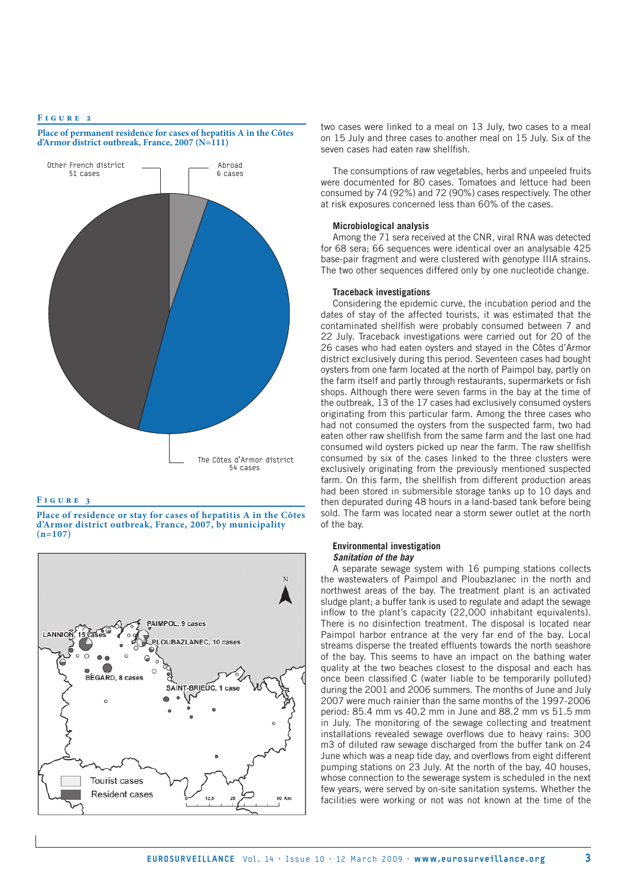#### **F i g u r e 2**

**F i g u r e 3**

**d'Armor district outbreak, France, 2007 (N=111)** Other French district 51 cases Abroad 6 cases

**Place of permanent residence for cases of hepatitis A in the Côtes** 



**Place of residence or stay for cases of hepatitis A in the Côtes d'Armor district outbreak, France, 2007, by municipality** 

The Côtes d'Armor district 54 cases

two cases were linked to a meal on 13 July, two cases to a meal on 15 July and three cases to another meal on 15 July. Six of the seven cases had eaten raw shellfish.

The consumptions of raw vegetables, herbs and unpeeled fruits were documented for 80 cases. Tomatoes and lettuce had been consumed by 74 (92%) and 72 (90%) cases respectively. The other at risk exposures concerned less than 60% of the cases.

#### **Microbiological analysis**

Among the 71 sera received at the CNR, viral RNA was detected for 68 sera; 66 sequences were identical over an analysable 425 base-pair fragment and were clustered with genotype IIIA strains. The two other sequences differed only by one nucleotide change.

#### **Traceback investigations**

Considering the epidemic curve, the incubation period and the dates of stay of the affected tourists, it was estimated that the contaminated shellfish were probably consumed between 7 and 22 July. Traceback investigations were carried out for 20 of the 26 cases who had eaten oysters and stayed in the Côtes d'Armor district exclusively during this period. Seventeen cases had bought oysters from one farm located at the north of Paimpol bay, partly on the farm itself and partly through restaurants, supermarkets or fish shops. Although there were seven farms in the bay at the time of the outbreak, 13 of the 17 cases had exclusively consumed oysters originating from this particular farm. Among the three cases who had not consumed the oysters from the suspected farm, two had eaten other raw shellfish from the same farm and the last one had consumed wild oysters picked up near the farm. The raw shellfish consumed by six of the cases linked to the three clusters were exclusively originating from the previously mentioned suspected farm. On this farm, the shellfish from different production areas had been stored in submersible storage tanks up to 10 days and then depurated during 48 hours in a land-based tank before being sold. The farm was located near a storm sewer outlet at the north of the bay.

#### **Environmental investigation** *Sanitation of the bay*

A separate sewage system with 16 pumping stations collects the wastewaters of Paimpol and Ploubazlanec in the north and northwest areas of the bay. The treatment plant is an activated sludge plant; a buffer tank is used to regulate and adapt the sewage inflow to the plant's capacity (22,000 inhabitant equivalents). There is no disinfection treatment. The disposal is located near Paimpol harbor entrance at the very far end of the bay. Local streams disperse the treated effluents towards the north seashore of the bay. This seems to have an impact on the bathing water quality at the two beaches closest to the disposal and each has once been classified C (water liable to be temporarily polluted) during the 2001 and 2006 summers. The months of June and July 2007 were much rainier than the same months of the 1997-2006 period: 85.4 mm vs 40.2 mm in June and 88.2 mm vs 51.5 mm in July. The monitoring of the sewage collecting and treatment installations revealed sewage overflows due to heavy rains: 300 m3 of diluted raw sewage discharged from the buffer tank on 24 June which was a neap tide day, and overflows from eight different pumping stations on 23 July. At the north of the bay, 40 houses, whose connection to the sewerage system is scheduled in the next few years, were served by on-site sanitation systems. Whether the facilities were working or not was not known at the time of the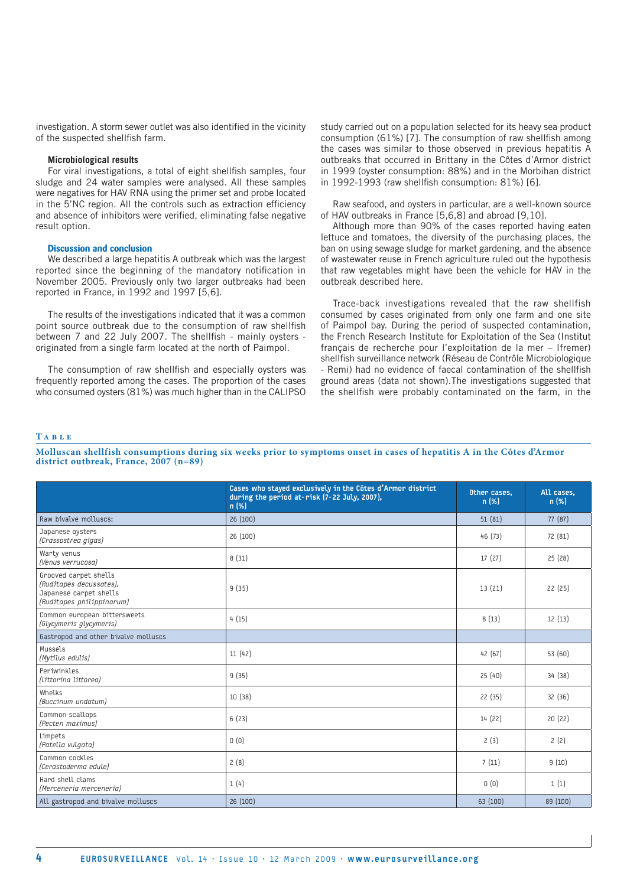investigation. A storm sewer outlet was also identified in the vicinity of the suspected shellfish farm.

#### **Microbiological results**

For viral investigations, a total of eight shellfish samples, four sludge and 24 water samples were analysed. All these samples were negatives for HAV RNA using the primer set and probe located in the 5'NC region. All the controls such as extraction efficiency and absence of inhibitors were verified, eliminating false negative result option.

#### **Discussion and conclusion**

We described a large hepatitis A outbreak which was the largest reported since the beginning of the mandatory notification in November 2005. Previously only two larger outbreaks had been reported in France, in 1992 and 1997 [5,6].

The results of the investigations indicated that it was a common point source outbreak due to the consumption of raw shellfish between 7 and 22 July 2007. The shellfish - mainly oysters originated from a single farm located at the north of Paimpol.

The consumption of raw shellfish and especially oysters was frequently reported among the cases. The proportion of the cases who consumed oysters (81%) was much higher than in the CALIPSO study carried out on a population selected for its heavy sea product consumption (61%) [7]. The consumption of raw shellfish among the cases was similar to those observed in previous hepatitis A outbreaks that occurred in Brittany in the Côtes d'Armor district in 1999 (oyster consumption: 88%) and in the Morbihan district in 1992-1993 (raw shellfish consumption: 81%) [6].

Raw seafood, and oysters in particular, are a well-known source of HAV outbreaks in France [5,6,8] and abroad [9,10].

Although more than 90% of the cases reported having eaten lettuce and tomatoes, the diversity of the purchasing places, the ban on using sewage sludge for market gardening, and the absence of wastewater reuse in French agriculture ruled out the hypothesis that raw vegetables might have been the vehicle for HAV in the outbreak described here.

Trace-back investigations revealed that the raw shellfish consumed by cases originated from only one farm and one site of Paimpol bay. During the period of suspected contamination, the French Research Institute for Exploitation of the Sea (Institut français de recherche pour l'exploitation de la mer – Ifremer) shellfish surveillance network (Réseau de Contrôle Microbiologique - Remi) had no evidence of faecal contamination of the shellfish ground areas (data not shown).The investigations suggested that the shellfish were probably contaminated on the farm, in the

#### **T a b l e**

**Molluscan shellfish consumptions during six weeks prior to symptoms onset in cases of hepatitis A in the Côtes d'Armor district outbreak, France, 2007 (n=89)**

|                                                                                                         | Cases who stayed exclusively in the Côtes d'Armor district<br>during the period at-risk (7-22 July, 2007),<br>n (%) | Other cases.<br>n (%) | All cases.<br>n (%) |
|---------------------------------------------------------------------------------------------------------|---------------------------------------------------------------------------------------------------------------------|-----------------------|---------------------|
| Raw bivalve molluscs:                                                                                   | 26 (100)                                                                                                            | 51(81)                | 77(87)              |
| Japanese oysters<br>(Crassostrea gigas)                                                                 | 26 (100)                                                                                                            | 46 (73)               | 72 (81)             |
| Warty venus<br>(Venus verrucosa)                                                                        | 8(31)                                                                                                               | 17(27)                | 25(28)              |
| Grooved carpet shells<br>(Ruditapes decussates),<br>Japanese carpet shells<br>(Ruditapes philippinarum) | 9(35)                                                                                                               | 13(21)                | 22(25)              |
| Common european bittersweets<br>(Glycymeris glycymeris)                                                 | 4(15)                                                                                                               | 8(13)                 | 12(13)              |
| Gastropod and other bivalve molluscs                                                                    |                                                                                                                     |                       |                     |
| Mussels<br>(Mytilus edulis)                                                                             | 11 (42)                                                                                                             | 42 (67)               | 53 (60)             |
| Periwinkles<br>(Littorina littorea)                                                                     | 9(35)                                                                                                               | 25(40)                | 34 (38)             |
| Whelks<br>(Buccinum undatum)                                                                            | 10 (38)                                                                                                             | 22(35)                | 32 (36)             |
| Common scallops<br>(Pecten maximus)                                                                     | 6(23)                                                                                                               | 14 (22)               | 20(22)              |
| Limpets<br>(Patella vulgata)                                                                            | 0(0)                                                                                                                | 2(3)                  | 2(2)                |
| Common cockles<br>(Cerastoderma edule)                                                                  | 2(8)                                                                                                                | 7(11)                 | 9(10)               |
| Hard shell clams<br>(Merceneria merceneria)                                                             | 1(4)                                                                                                                | 0(0)                  | 1(1)                |
| All gastropod and bivalve molluscs                                                                      | 26 (100)                                                                                                            | 63 (100)              | 89 (100)            |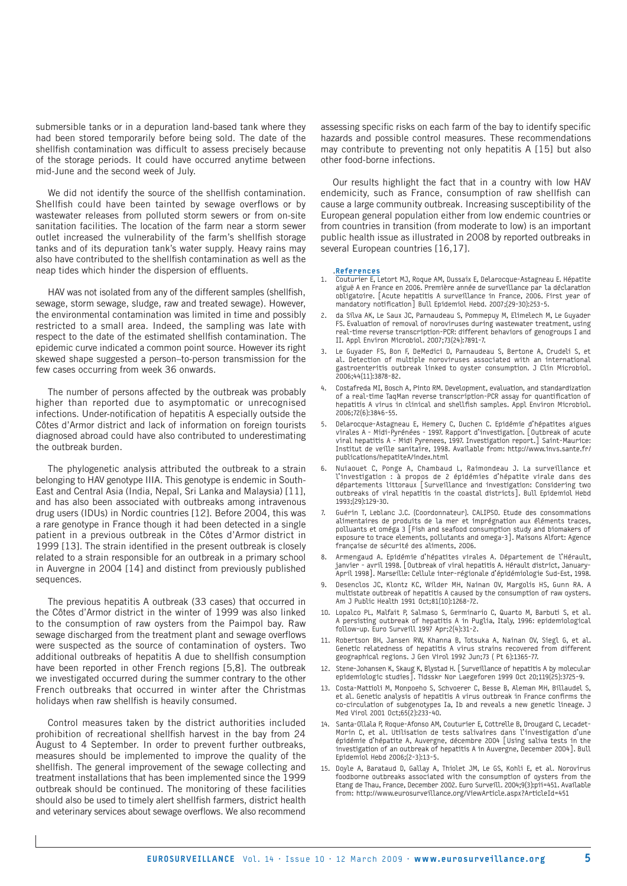submersible tanks or in a depuration land-based tank where they had been stored temporarily before being sold. The date of the shellfish contamination was difficult to assess precisely because of the storage periods. It could have occurred anytime between mid-June and the second week of July.

We did not identify the source of the shellfish contamination. Shellfish could have been tainted by sewage overflows or by wastewater releases from polluted storm sewers or from on-site sanitation facilities. The location of the farm near a storm sewer outlet increased the vulnerability of the farm's shellfish storage tanks and of its depuration tank's water supply. Heavy rains may also have contributed to the shellfish contamination as well as the neap tides which hinder the dispersion of effluents.

HAV was not isolated from any of the different samples (shellfish, sewage, storm sewage, sludge, raw and treated sewage). However, the environmental contamination was limited in time and possibly restricted to a small area. Indeed, the sampling was late with respect to the date of the estimated shellfish contamination. The epidemic curve indicated a common point source. However its right skewed shape suggested a person–to-person transmission for the few cases occurring from week 36 onwards.

The number of persons affected by the outbreak was probably higher than reported due to asymptomatic or unrecognised infections. Under-notification of hepatitis A especially outside the Côtes d'Armor district and lack of information on foreign tourists diagnosed abroad could have also contributed to underestimating the outbreak burden.

The phylogenetic analysis attributed the outbreak to a strain belonging to HAV genotype IIIA. This genotype is endemic in South-East and Central Asia (India, Nepal, Sri Lanka and Malaysia) [11], and has also been associated with outbreaks among intravenous drug users (IDUs) in Nordic countries [12]. Before 2004, this was a rare genotype in France though it had been detected in a single patient in a previous outbreak in the Côtes d'Armor district in 1999 [13]. The strain identified in the present outbreak is closely related to a strain responsible for an outbreak in a primary school in Auvergne in 2004 [14] and distinct from previously published sequences.

The previous hepatitis A outbreak (33 cases) that occurred in the Côtes d'Armor district in the winter of 1999 was also linked to the consumption of raw oysters from the Paimpol bay. Raw sewage discharged from the treatment plant and sewage overflows were suspected as the source of contamination of oysters. Two additional outbreaks of hepatitis A due to shellfish consumption have been reported in other French regions [5,8]. The outbreak we investigated occurred during the summer contrary to the other French outbreaks that occurred in winter after the Christmas holidays when raw shellfish is heavily consumed.

Control measures taken by the district authorities included prohibition of recreational shellfish harvest in the bay from 24 August to 4 September. In order to prevent further outbreaks, measures should be implemented to improve the quality of the shellfish. The general improvement of the sewage collecting and treatment installations that has been implemented since the 1999 outbreak should be continued. The monitoring of these facilities should also be used to timely alert shellfish farmers, district health and veterinary services about sewage overflows. We also recommend

assessing specific risks on each farm of the bay to identify specific hazards and possible control measures. These recommendations may contribute to preventing not only hepatitis A [15] but also other food-borne infections.

Our results highlight the fact that in a country with low HAV endemicity, such as France, consumption of raw shellfish can cause a large community outbreak. Increasing susceptibility of the European general population either from low endemic countries or from countries in transition (from moderate to low) is an important public health issue as illustrated in 2008 by reported outbreaks in several European countries [16,17].

#### .References

- 1. Couturier E, Letort MJ, Roque AM, Dussaix E, Delarocque-Astagneau E. Hépatite aiguë A en France en 2006. Première année de surveillance par la déclaration obligatoire. [Acute hepatitis A surveillance in France, 2006. First year of mandatory notification] Bull Epidemiol Hebd. 2007;(29-30):253-5.
- 2. da Silva AK, Le Saux JC, Parnaudeau S, Pommepuy M, Elimelech M, Le Guyader FS. Evaluation of removal of noroviruses during wastewater treatment, using real-time reverse transcription-PCR: different behaviors of genogroups I and II. Appl Environ Microbiol. 2007;73(24):7891-7.
- 3. Le Guyader FS, Bon F, DeMedici D, Parnaudeau S, Bertone A, Crudeli S, et al. Detection of multiple noroviruses associated with an international gastroenteritis outbreak linked to oyster consumption. J Clin Microbiol. 2006;44(11):3878-82.
- 4. Costafreda MI, Bosch A, Pinto RM. Development, evaluation, and standardization of a real-time TaqMan reverse transcription-PCR assay for quantification of hepatitis A virus in clinical and shellfish samples. Appl Environ Microbiol. 2006;72(6):3846-55.
- 5. Delarocque-Astagneau E, Hemery C, Duchen C. Epidémie d'hépatites aigues virales A - Midi-Pyrénées - 1997. Rapport d'investigation. [Outbreak of acute viral hepatitis A - Midi Pyrenees, 1997. Investigation report.] Saint-Maurice: Institut de veille sanitaire, 1998. Available from: http://www.invs.sante.fr/ publications/hepatiteA/index.html
- 6. Nuiaouet C, Ponge A, Chambaud L, Raimondeau J. La surveillance et l'investigation : à propos de 2 épidémies d'hépatite virale dans des départements littoraux [Surveillance and investigation: Considering two outbreaks of viral hepatitis in the coastal districts]. Bull Epidemiol Hebd 1993;(29):129-30.
- 7. Guérin T, Leblanc J.C. (Coordonnateur). CALIPSO. Etude des consommations alimentaires de produits de la mer et imprégnation aux éléments traces, polluants et oméga 3 [Fish and seafood consumption study and biomakers of exposure to trace elements, pollutants and omega-3]. Maisons Alfort: Agence française de sécurité des aliments, 2006.
- 8. Armengaud A. Epidémie d'hépatites virales A. Département de l'Hérault, janvier - avril 1998. [Outbreak of viral hepatitis A. Hérault district, January-April 1998]. Marseille: Cellule inter-régionale d'épidémiologie Sud-Est, 1998.
- Desenclos JC, Klontz KC, Wilder MH, Nainan OV, Margolis HS, Gunn RA. A multistate outbreak of hepatitis A caused by the consumption of raw oysters. Am J Public Health 1991 Oct;81(10):1268-72.
- 10. Lopalco PL, Malfait P, Salmaso S, Germinario C, Quarto M, Barbuti S, et al. A persisting outbreak of hepatitis A in Puglia, Italy, 1996: epidemiological follow-up. Euro Surveill 1997 Apr;2(4):31-2.
- 11. Robertson BH, Jansen RW, Khanna B, Totsuka A, Nainan OV, Siegl G, et al. Genetic relatedness of hepatitis A virus strains recovered from different geographical regions. J Gen Virol 1992 Jun;73 ( Pt 6):1365-77.
- 12. Stene-Johansen K, Skaug K, Blystad H. [Surveillance of hepatitis A by molecular epidemiologic studies]. Tidsskr Nor Laegeforen 1999 Oct 20;119(25):3725-9.
- 13. Costa-Mattioli M, Monpoeho S, Schvoerer C, Besse B, Aleman MH, Billaudel S, et al. Genetic analysis of hepatitis A virus outbreak in France confirms the co-circulation of subgenotypes Ia, Ib and reveals a new genetic lineage. J Med Virol 2001 Oct;65(2):233-40.
- 14. Santa-Ollala P, Roque-Afonso AM, Couturier E, Cottrelle B, Drougard C, Lecadet-Morin C, et al. Utilisation de tests salivaires dans l'investigation d'une épidémie d'hépatite A, Auvergne, décembre 2004 [Using saliva tests in the investigation of an outbreak of hepatitis A in Auvergne, December 2004]. Bull Epidemiol Hebd 2006;(2-3):13-5.
- 15. Doyle A, Barataud D, Gallay A, Thiolet JM, Le GS, Kohli E, et al. Norovirus foodborne outbreaks associated with the consumption of oysters from the Etang de Thau, France, December 2002. Euro Surveill. 2004;9(3):pii=451. Available from: http://www.eurosurveillance.org/ViewArticle.aspx?ArticleId=451